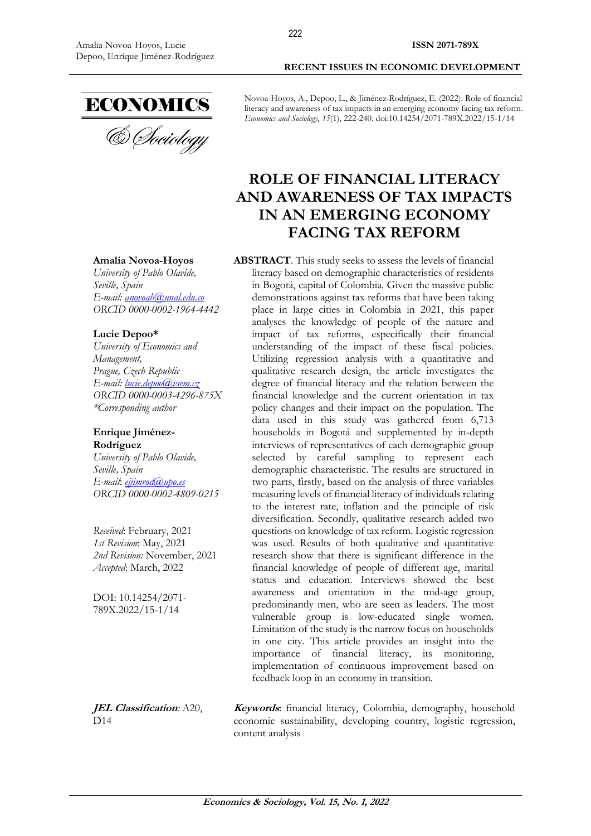

**Amalia Novoa-Hoyos** *University of Pablo Olavide,*

*E-mail: anovoah@unal.edu.co ORCID 0000-0002-1964-4442*

*Seville, Spain*

**Lucie Depoo\***

Novoa-Hoyos, A., Depoo, L., & Jiménez-Rodríguez, E. (2022). Role of financial literacy and awareness of tax impacts in an emerging economy facing tax reform. *Economics and Sociology*, *15*(1), 222-240. doi:10.14254/2071-789X.2022/15-1/14

# **ROLE OF FINANCIAL LITERACY AND AWARENESS OF TAX IMPACTS IN AN EMERGING ECONOMY FACING TAX REFORM**

**ABSTRACT**. This study seeks to assess the levels of financial literacy based on demographic characteristics of residents in Bogotá, capital of Colombia. Given the massive public demonstrations against tax reforms that have been taking place in large cities in Colombia in 2021, this paper analyses the knowledge of people of the nature and impact of tax reforms, especifically their financial understanding of the impact of these fiscal policies. Utilizing regression analysis with a quantitative and qualitative research design, the article investigates the degree of financial literacy and the relation between the financial knowledge and the current orientation in tax policy changes and their impact on the population. The data used in this study was gathered from 6,713 households in Bogotá and supplemented by in-depth interviews of representatives of each demographic group selected by careful sampling to represent each demographic characteristic. The results are structured in two parts, firstly, based on the analysis of three variables measuring levels of financial literacy of individuals relating to the interest rate, inflation and the principle of risk diversification. Secondly, qualitative research added two questions on knowledge of tax reform. Logistic regression was used. Results of both qualitative and quantitative research show that there is significant difference in the financial knowledge of people of different age, marital status and education. Interviews showed the best awareness and orientation in the mid-age group, predominantly men, who are seen as leaders. The most vulnerable group is low-educated single women. Limitation of the study is the narrow focus on households in one city. This article provides an insight into the importance of financial literacy, its monitoring, implementation of continuous improvement based on feedback loop in an economy in transition.

**JEL Classification***:* A20, D14

**Keywords**: financial literacy, Colombia, demography, household economic sustainability, developing country, logistic regression, content analysis

*University of Economics and Management, Prague, Czech Republic E-mail: [lucie.depoo@vsem.cz](mailto:lucie.depoo@vsem.cz) ORCID 0000-0003-4296-875X \*Corresponding author*

#### **Enrique Jiménez-Rodríguez**

*University of Pablo Olavide, Seville, Spain E-mail*: *ejjimrod@upo.es ORCID 0000-0002-4809-0215*

*Received*: February, 2021 *1st Revision*: May, 2021 *2nd Revision:* November, 2021 *Accepted*: March, 2022

DOI: 10.14254/2071- 789X.2022/15-1/14

**Economics & Sociology, Vol. 15, No. 1, 2022**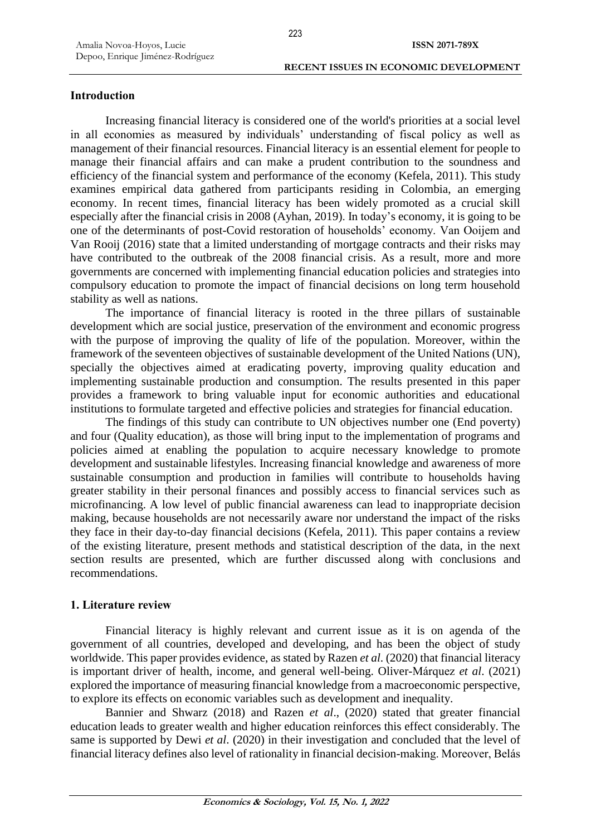# **Introduction**

Increasing financial literacy is considered one of the world's priorities at a social level in all economies as measured by individuals' understanding of fiscal policy as well as management of their financial resources. Financial literacy is an essential element for people to manage their financial affairs and can make a prudent contribution to the soundness and efficiency of the financial system and performance of the economy (Kefela, 2011). This study examines empirical data gathered from participants residing in Colombia, an emerging economy. In recent times, financial literacy has been widely promoted as a crucial skill especially after the financial crisis in 2008 (Ayhan, 2019). In today's economy, it is going to be one of the determinants of post-Covid restoration of households' economy. Van Ooijem and Van Rooij (2016) state that a limited understanding of mortgage contracts and their risks may have contributed to the outbreak of the 2008 financial crisis. As a result, more and more governments are concerned with implementing financial education policies and strategies into compulsory education to promote the impact of financial decisions on long term household stability as well as nations.

The importance of financial literacy is rooted in the three pillars of sustainable development which are social justice, preservation of the environment and economic progress with the purpose of improving the quality of life of the population. Moreover, within the framework of the seventeen objectives of sustainable development of the United Nations (UN), specially the objectives aimed at eradicating poverty, improving quality education and implementing sustainable production and consumption. The results presented in this paper provides a framework to bring valuable input for economic authorities and educational institutions to formulate targeted and effective policies and strategies for financial education.

The findings of this study can contribute to UN objectives number one (End poverty) and four (Quality education), as those will bring input to the implementation of programs and policies aimed at enabling the population to acquire necessary knowledge to promote development and sustainable lifestyles. Increasing financial knowledge and awareness of more sustainable consumption and production in families will contribute to households having greater stability in their personal finances and possibly access to financial services such as microfinancing. A low level of public financial awareness can lead to inappropriate decision making, because households are not necessarily aware nor understand the impact of the risks they face in their day-to-day financial decisions (Kefela, 2011). This paper contains a review of the existing literature, present methods and statistical description of the data, in the next section results are presented, which are further discussed along with conclusions and recommendations.

# **1. Literature review**

Financial literacy is highly relevant and current issue as it is on agenda of the government of all countries, developed and developing, and has been the object of study worldwide. This paper provides evidence, as stated by Razen *et al*. (2020) that financial literacy is important driver of health, income, and general well-being. Oliver-Márquez *et al*. (2021) explored the importance of measuring financial knowledge from a macroeconomic perspective, to explore its effects on economic variables such as development and inequality.

Bannier and Shwarz (2018) and Razen *et al*., (2020) stated that greater financial education leads to greater wealth and higher education reinforces this effect considerably. The same is supported by Dewi *et al*. (2020) in their investigation and concluded that the level of financial literacy defines also level of rationality in financial decision-making. Moreover, Belás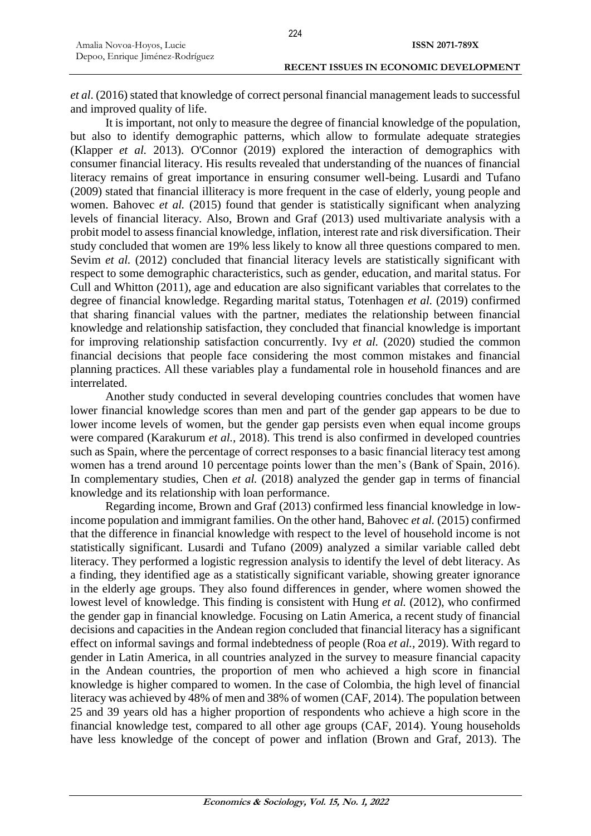*et al*. (2016) stated that knowledge of correct personal financial management leads to successful and improved quality of life.

It is important, not only to measure the degree of financial knowledge of the population, but also to identify demographic patterns, which allow to formulate adequate strategies (Klapper *et al.* 2013). O'Connor (2019) explored the interaction of demographics with consumer financial literacy. His results revealed that understanding of the nuances of financial literacy remains of great importance in ensuring consumer well-being. Lusardi and Tufano (2009) stated that financial illiteracy is more frequent in the case of elderly, young people and women. Bahovec *et al.* (2015) found that gender is statistically significant when analyzing levels of financial literacy. Also, Brown and Graf (2013) used multivariate analysis with a probit model to assess financial knowledge, inflation, interest rate and risk diversification. Their study concluded that women are 19% less likely to know all three questions compared to men. Sevim *et al.* (2012) concluded that financial literacy levels are statistically significant with respect to some demographic characteristics, such as gender, education, and marital status. For Cull and Whitton (2011), age and education are also significant variables that correlates to the degree of financial knowledge. Regarding marital status, Totenhagen *et al.* (2019) confirmed that sharing financial values with the partner, mediates the relationship between financial knowledge and relationship satisfaction, they concluded that financial knowledge is important for improving relationship satisfaction concurrently. Ivy *et al.* (2020) studied the common financial decisions that people face considering the most common mistakes and financial planning practices. All these variables play a fundamental role in household finances and are interrelated.

Another study conducted in several developing countries concludes that women have lower financial knowledge scores than men and part of the gender gap appears to be due to lower income levels of women, but the gender gap persists even when equal income groups were compared (Karakurum *et al.,* 2018). This trend is also confirmed in developed countries such as Spain, where the percentage of correct responses to a basic financial literacy test among women has a trend around 10 percentage points lower than the men's (Bank of Spain, 2016). In complementary studies, Chen *et al.* (2018) analyzed the gender gap in terms of financial knowledge and its relationship with loan performance.

Regarding income, Brown and Graf (2013) confirmed less financial knowledge in lowincome population and immigrant families. On the other hand, Bahovec *et al.* (2015) confirmed that the difference in financial knowledge with respect to the level of household income is not statistically significant. Lusardi and Tufano (2009) analyzed a similar variable called debt literacy. They performed a logistic regression analysis to identify the level of debt literacy. As a finding, they identified age as a statistically significant variable, showing greater ignorance in the elderly age groups. They also found differences in gender, where women showed the lowest level of knowledge. This finding is consistent with Hung *et al.* (2012), who confirmed the gender gap in financial knowledge. Focusing on Latin America, a recent study of financial decisions and capacities in the Andean region concluded that financial literacy has a significant effect on informal savings and formal indebtedness of people (Roa *et al.,* 2019). With regard to gender in Latin America, in all countries analyzed in the survey to measure financial capacity in the Andean countries, the proportion of men who achieved a high score in financial knowledge is higher compared to women. In the case of Colombia, the high level of financial literacy was achieved by 48% of men and 38% of women (CAF, 2014). The population between 25 and 39 years old has a higher proportion of respondents who achieve a high score in the financial knowledge test, compared to all other age groups (CAF, 2014). Young households have less knowledge of the concept of power and inflation (Brown and Graf, 2013). The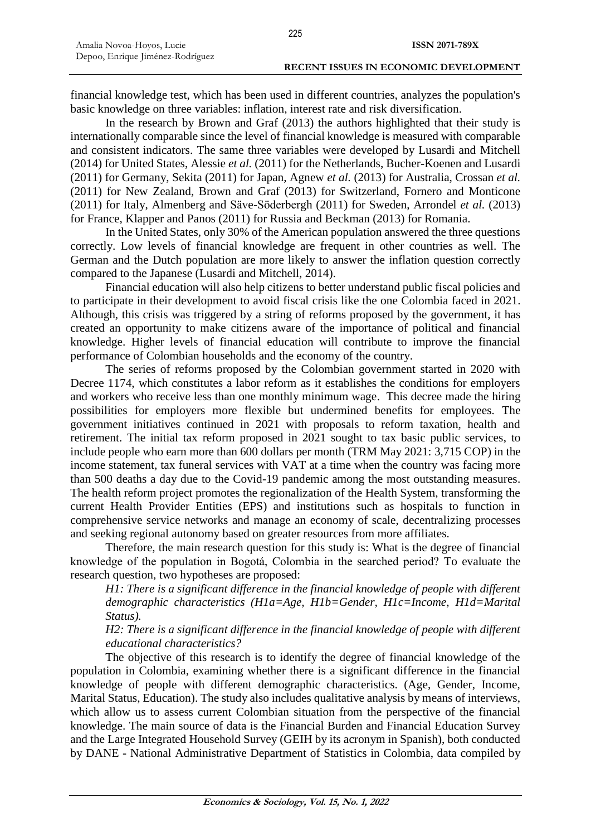financial knowledge test, which has been used in different countries, analyzes the population's basic knowledge on three variables: inflation, interest rate and risk diversification.

In the research by Brown and Graf (2013) the authors highlighted that their study is internationally comparable since the level of financial knowledge is measured with comparable and consistent indicators. The same three variables were developed by Lusardi and Mitchell (2014) for United States, Alessie *et al.* (2011) for the Netherlands, Bucher-Koenen and Lusardi (2011) for Germany, Sekita (2011) for Japan, Agnew *et al.* (2013) for Australia, Crossan *et al.* (2011) for New Zealand, Brown and Graf (2013) for Switzerland, Fornero and Monticone (2011) for Italy, Almenberg and Säve-Söderbergh (2011) for Sweden, Arrondel *et al.* (2013) for France, Klapper and Panos (2011) for Russia and Beckman (2013) for Romania.

In the United States, only 30% of the American population answered the three questions correctly. Low levels of financial knowledge are frequent in other countries as well. The German and the Dutch population are more likely to answer the inflation question correctly compared to the Japanese (Lusardi and Mitchell, 2014).

Financial education will also help citizens to better understand public fiscal policies and to participate in their development to avoid fiscal crisis like the one Colombia faced in 2021. Although, this crisis was triggered by a string of reforms proposed by the government, it has created an opportunity to make citizens aware of the importance of political and financial knowledge. Higher levels of financial education will contribute to improve the financial performance of Colombian households and the economy of the country.

The series of reforms proposed by the Colombian government started in 2020 with Decree 1174, which constitutes a labor reform as it establishes the conditions for employers and workers who receive less than one monthly minimum wage. This decree made the hiring possibilities for employers more flexible but undermined benefits for employees. The government initiatives continued in 2021 with proposals to reform taxation, health and retirement. The initial tax reform proposed in 2021 sought to tax basic public services, to include people who earn more than 600 dollars per month (TRM May 2021: 3,715 COP) in the income statement, tax funeral services with VAT at a time when the country was facing more than 500 deaths a day due to the Covid-19 pandemic among the most outstanding measures. The health reform project promotes the regionalization of the Health System, transforming the current Health Provider Entities (EPS) and institutions such as hospitals to function in comprehensive service networks and manage an economy of scale, decentralizing processes and seeking regional autonomy based on greater resources from more affiliates.

Therefore, the main research question for this study is: What is the degree of financial knowledge of the population in Bogotá, Colombia in the searched period? To evaluate the research question, two hypotheses are proposed:

*H1: There is a significant difference in the financial knowledge of people with different demographic characteristics (H1a=Age, H1b=Gender, H1c=Income, H1d=Marital Status).*

*H2: There is a significant difference in the financial knowledge of people with different educational characteristics?*

The objective of this research is to identify the degree of financial knowledge of the population in Colombia, examining whether there is a significant difference in the financial knowledge of people with different demographic characteristics. (Age, Gender, Income, Marital Status, Education). The study also includes qualitative analysis by means of interviews, which allow us to assess current Colombian situation from the perspective of the financial knowledge. The main source of data is the Financial Burden and Financial Education Survey and the Large Integrated Household Survey (GEIH by its acronym in Spanish), both conducted by DANE - National Administrative Department of Statistics in Colombia, data compiled by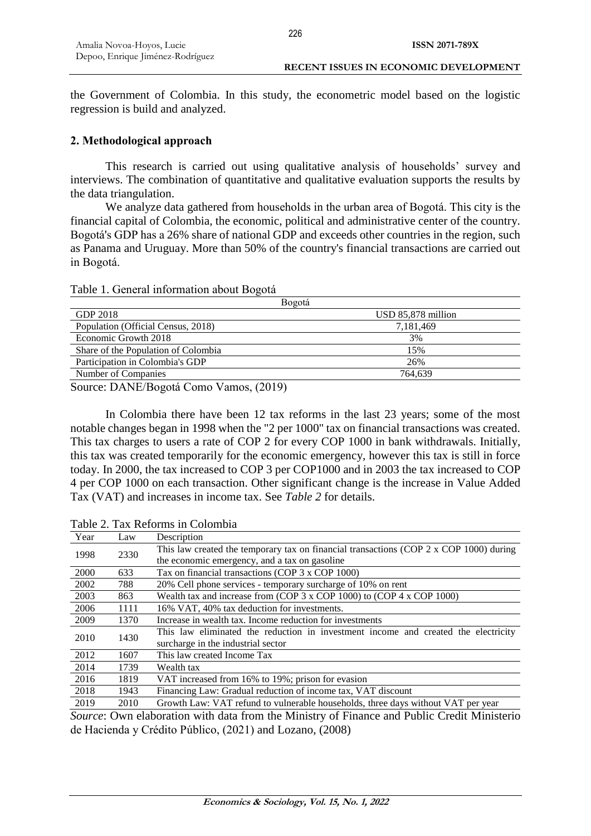the Government of Colombia. In this study, the econometric model based on the logistic regression is build and analyzed.

## **2. Methodological approach**

This research is carried out using qualitative analysis of households' survey and interviews. The combination of quantitative and qualitative evaluation supports the results by the data triangulation.

We analyze data gathered from households in the urban area of Bogotá. This city is the financial capital of Colombia, the economic, political and administrative center of the country. Bogotá's GDP has a 26% share of national GDP and exceeds other countries in the region, such as Panama and Uruguay. More than 50% of the country's financial transactions are carried out in Bogotá.

| Table 1. General information about Bogotá |  |  |
|-------------------------------------------|--|--|
|-------------------------------------------|--|--|

| USD 85,878 million |
|--------------------|
| 7,181,469          |
| 3%                 |
| 15%                |
| 26%                |
| 764.639            |
|                    |

Source: DANE/Bogotá Como Vamos, (2019)

In Colombia there have been 12 tax reforms in the last 23 years; some of the most notable changes began in 1998 when the "2 per 1000" tax on financial transactions was created. This tax charges to users a rate of COP 2 for every COP 1000 in bank withdrawals. Initially, this tax was created temporarily for the economic emergency, however this tax is still in force today. In 2000, the tax increased to COP 3 per COP1000 and in 2003 the tax increased to COP 4 per COP 1000 on each transaction. Other significant change is the increase in Value Added Tax (VAT) and increases in income tax. See *Table 2* for details.

| Year | Law  | Description                                                                            |
|------|------|----------------------------------------------------------------------------------------|
| 1998 | 2330 | This law created the temporary tax on financial transactions (COP 2 x COP 1000) during |
|      |      | the economic emergency, and a tax on gasoline                                          |
| 2000 | 633  | Tax on financial transactions (COP 3 x COP 1000)                                       |
| 2002 | 788  | 20% Cell phone services - temporary surcharge of 10% on rent                           |
| 2003 | 863  | Wealth tax and increase from (COP $3 \times$ COP 1000) to (COP $4 \times$ COP 1000)    |
| 2006 | 1111 | 16% VAT, 40% tax deduction for investments.                                            |
| 2009 | 1370 | Increase in wealth tax. Income reduction for investments                               |
| 2010 | 1430 | This law eliminated the reduction in investment income and created the electricity     |
|      |      | surcharge in the industrial sector                                                     |
| 2012 | 1607 | This law created Income Tax                                                            |
| 2014 | 1739 | Wealth tax                                                                             |
| 2016 | 1819 | VAT increased from 16% to 19%; prison for evasion                                      |
| 2018 | 1943 | Financing Law: Gradual reduction of income tax, VAT discount                           |
| 2019 | 2010 | Growth Law: VAT refund to vulnerable households, three days without VAT per year       |
|      |      |                                                                                        |

Table 2. Tax Reforms in Colombia

*Source*: Own elaboration with data from the Ministry of Finance and Public Credit Ministerio de Hacienda y Crédito Público, (2021) and Lozano, (2008)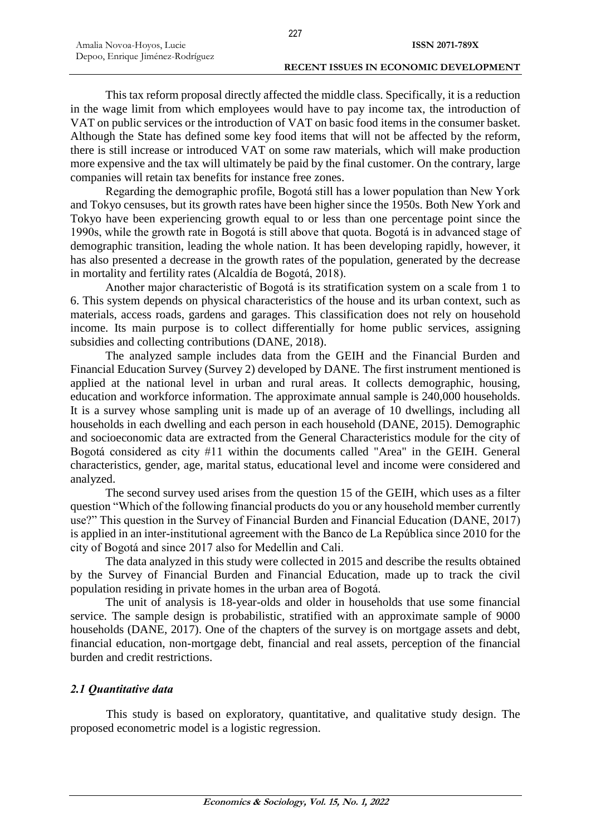This tax reform proposal directly affected the middle class. Specifically, it is a reduction in the wage limit from which employees would have to pay income tax, the introduction of VAT on public services or the introduction of VAT on basic food items in the consumer basket. Although the State has defined some key food items that will not be affected by the reform, there is still increase or introduced VAT on some raw materials, which will make production more expensive and the tax will ultimately be paid by the final customer. On the contrary, large companies will retain tax benefits for instance free zones.

Regarding the demographic profile, Bogotá still has a lower population than New York and Tokyo censuses, but its growth rates have been higher since the 1950s. Both New York and Tokyo have been experiencing growth equal to or less than one percentage point since the 1990s, while the growth rate in Bogotá is still above that quota. Bogotá is in advanced stage of demographic transition, leading the whole nation. It has been developing rapidly, however, it has also presented a decrease in the growth rates of the population, generated by the decrease in mortality and fertility rates (Alcaldía de Bogotá, 2018).

Another major characteristic of Bogotá is its stratification system on a scale from 1 to 6. This system depends on physical characteristics of the house and its urban context, such as materials, access roads, gardens and garages. This classification does not rely on household income. Its main purpose is to collect differentially for home public services, assigning subsidies and collecting contributions (DANE, 2018).

The analyzed sample includes data from the GEIH and the Financial Burden and Financial Education Survey (Survey 2) developed by DANE. The first instrument mentioned is applied at the national level in urban and rural areas. It collects demographic, housing, education and workforce information. The approximate annual sample is 240,000 households. It is a survey whose sampling unit is made up of an average of 10 dwellings, including all households in each dwelling and each person in each household (DANE, 2015). Demographic and socioeconomic data are extracted from the General Characteristics module for the city of Bogotá considered as city #11 within the documents called "Area" in the GEIH. General characteristics, gender, age, marital status, educational level and income were considered and analyzed.

The second survey used arises from the question 15 of the GEIH, which uses as a filter question "Which of the following financial products do you or any household member currently use?" This question in the Survey of Financial Burden and Financial Education (DANE, 2017) is applied in an inter-institutional agreement with the Banco de La República since 2010 for the city of Bogotá and since 2017 also for Medellin and Cali.

The data analyzed in this study were collected in 2015 and describe the results obtained by the Survey of Financial Burden and Financial Education, made up to track the civil population residing in private homes in the urban area of Bogotá.

The unit of analysis is 18-year-olds and older in households that use some financial service. The sample design is probabilistic, stratified with an approximate sample of 9000 households (DANE, 2017). One of the chapters of the survey is on mortgage assets and debt, financial education, non-mortgage debt, financial and real assets, perception of the financial burden and credit restrictions.

# *2.1 Quantitative data*

This study is based on exploratory, quantitative, and qualitative study design. The proposed econometric model is a logistic regression.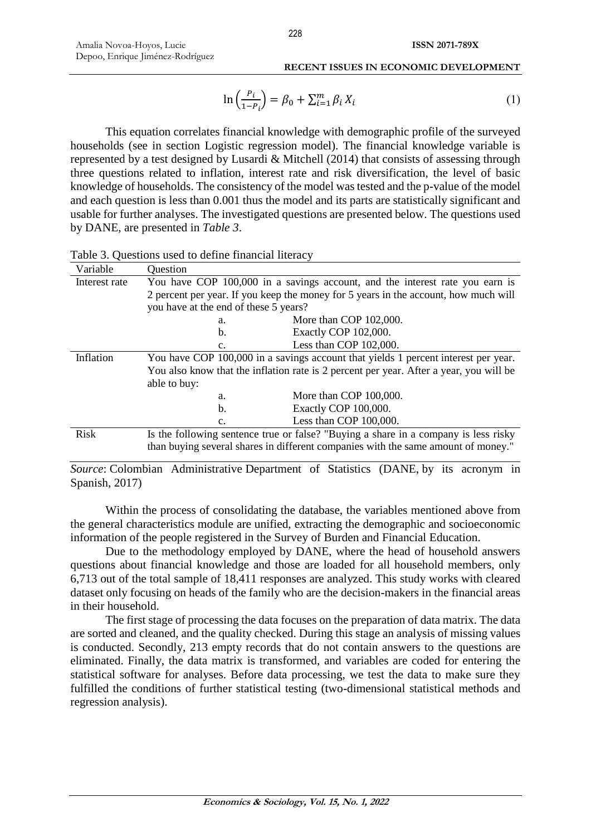$$
\ln\left(\frac{P_i}{1 - P_i}\right) = \beta_0 + \sum_{i=1}^{m} \beta_i X_i
$$
 (1)

This equation correlates financial knowledge with demographic profile of the surveyed households (see in section Logistic regression model). The financial knowledge variable is represented by a test designed by Lusardi & Mitchell (2014) that consists of assessing through three questions related to inflation, interest rate and risk diversification, the level of basic knowledge of households. The consistency of the model was tested and the p-value of the model and each question is less than 0.001 thus the model and its parts are statistically significant and usable for further analyses. The investigated questions are presented below. The questions used by DANE, are presented in *Table 3*.

| Variable      | Question                                                                            |                                                                                        |  |  |  |  |  |
|---------------|-------------------------------------------------------------------------------------|----------------------------------------------------------------------------------------|--|--|--|--|--|
| Interest rate | You have COP 100,000 in a savings account, and the interest rate you earn is        |                                                                                        |  |  |  |  |  |
|               |                                                                                     | 2 percent per year. If you keep the money for 5 years in the account, how much will    |  |  |  |  |  |
|               | you have at the end of these 5 years?                                               |                                                                                        |  |  |  |  |  |
|               | a.                                                                                  | More than COP 102,000.                                                                 |  |  |  |  |  |
|               | b.                                                                                  | Exactly COP 102,000.                                                                   |  |  |  |  |  |
|               | $\mathbf{c}$ .                                                                      | Less than COP 102,000.                                                                 |  |  |  |  |  |
| Inflation     | You have COP 100,000 in a savings account that yields 1 percent interest per year.  |                                                                                        |  |  |  |  |  |
|               |                                                                                     | You also know that the inflation rate is 2 percent per year. After a year, you will be |  |  |  |  |  |
|               | able to buy:                                                                        |                                                                                        |  |  |  |  |  |
|               | a.                                                                                  | More than COP 100,000.                                                                 |  |  |  |  |  |
|               | b.                                                                                  | Exactly COP 100,000.                                                                   |  |  |  |  |  |
|               | Less than COP 100,000.<br>$C_{\bullet}$                                             |                                                                                        |  |  |  |  |  |
| Risk          | Is the following sentence true or false? "Buying a share in a company is less risky |                                                                                        |  |  |  |  |  |
|               | than buying several shares in different companies with the same amount of money."   |                                                                                        |  |  |  |  |  |

Table 3. Questions used to define financial literacy

*Source*: Colombian Administrative Department of Statistics (DANE, by its acronym in Spanish, 2017)

Within the process of consolidating the database, the variables mentioned above from the general characteristics module are unified, extracting the demographic and socioeconomic information of the people registered in the Survey of Burden and Financial Education.

Due to the methodology employed by DANE, where the head of household answers questions about financial knowledge and those are loaded for all household members, only 6,713 out of the total sample of 18,411 responses are analyzed. This study works with cleared dataset only focusing on heads of the family who are the decision-makers in the financial areas in their household.

The first stage of processing the data focuses on the preparation of data matrix. The data are sorted and cleaned, and the quality checked. During this stage an analysis of missing values is conducted. Secondly, 213 empty records that do not contain answers to the questions are eliminated. Finally, the data matrix is transformed, and variables are coded for entering the statistical software for analyses. Before data processing, we test the data to make sure they fulfilled the conditions of further statistical testing (two-dimensional statistical methods and regression analysis).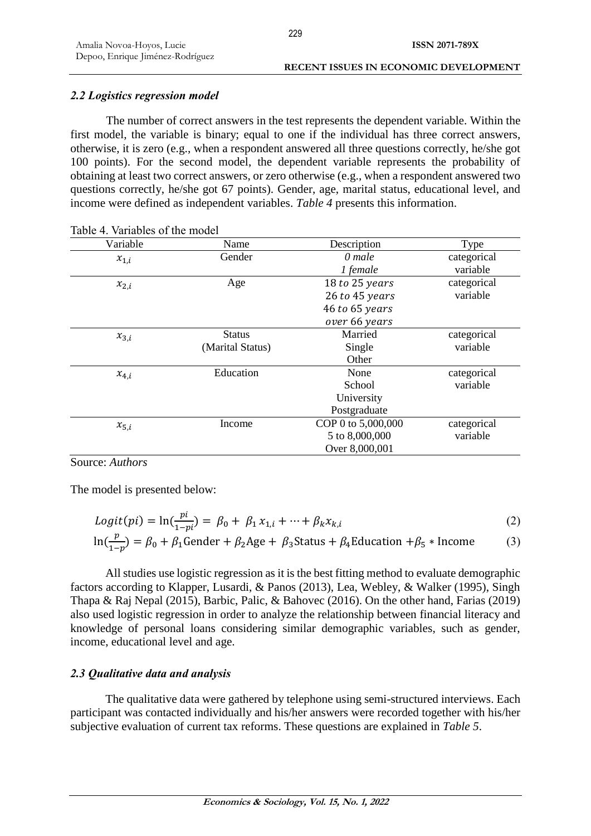# *2.2 Logistics regression model*

The number of correct answers in the test represents the dependent variable. Within the first model, the variable is binary; equal to one if the individual has three correct answers, otherwise, it is zero (e.g., when a respondent answered all three questions correctly, he/she got 100 points). For the second model, the dependent variable represents the probability of obtaining at least two correct answers, or zero otherwise (e.g., when a respondent answered two questions correctly, he/she got 67 points). Gender, age, marital status, educational level, and income were defined as independent variables. *Table 4* presents this information.

| Variable  | Name             | Description        | Type        |
|-----------|------------------|--------------------|-------------|
| $x_{1,i}$ | Gender           | 0 male             | categorical |
|           |                  | 1 female           | variable    |
| $x_{2,i}$ | Age              | 18 to 25 years     | categorical |
|           |                  | 26 to 45 years     | variable    |
|           |                  | 46 to 65 years     |             |
|           |                  | over 66 years      |             |
| $x_{3,i}$ | <b>Status</b>    | Married            | categorical |
|           | (Marital Status) | Single             | variable    |
|           |                  | Other              |             |
| $x_{4,i}$ | Education        | None               | categorical |
|           |                  | School             | variable    |
|           |                  | University         |             |
|           |                  | Postgraduate       |             |
| $x_{5,i}$ | Income           | COP 0 to 5,000,000 | categorical |
|           |                  | 5 to 8,000,000     | variable    |
|           |                  | Over 8,000,001     |             |

| Table 4. Variables of the model |
|---------------------------------|
|---------------------------------|

# Source: *Authors*

The model is presented below:

$$
Logit(pi) = \ln(\frac{pi}{1 - pi}) = \beta_0 + \beta_1 x_{1,i} + \dots + \beta_k x_{k,i}
$$
\n(2)

$$
\ln(\frac{p}{1-p}) = \beta_0 + \beta_1 \text{Gender} + \beta_2 \text{Age} + \beta_3 \text{Status} + \beta_4 \text{Education} + \beta_5 * \text{ Income}
$$
 (3)

All studies use logistic regression as it is the best fitting method to evaluate demographic factors according to Klapper, Lusardi, & Panos (2013), Lea, Webley, & Walker (1995), Singh Thapa & Raj Nepal (2015), Barbic, Palic, & Bahovec (2016). On the other hand, Farias (2019) also used logistic regression in order to analyze the relationship between financial literacy and knowledge of personal loans considering similar demographic variables, such as gender, income, educational level and age.

# *2.3 Qualitative data and analysis*

The qualitative data were gathered by telephone using semi-structured interviews. Each participant was contacted individually and his/her answers were recorded together with his/her subjective evaluation of current tax reforms. These questions are explained in *Table 5*.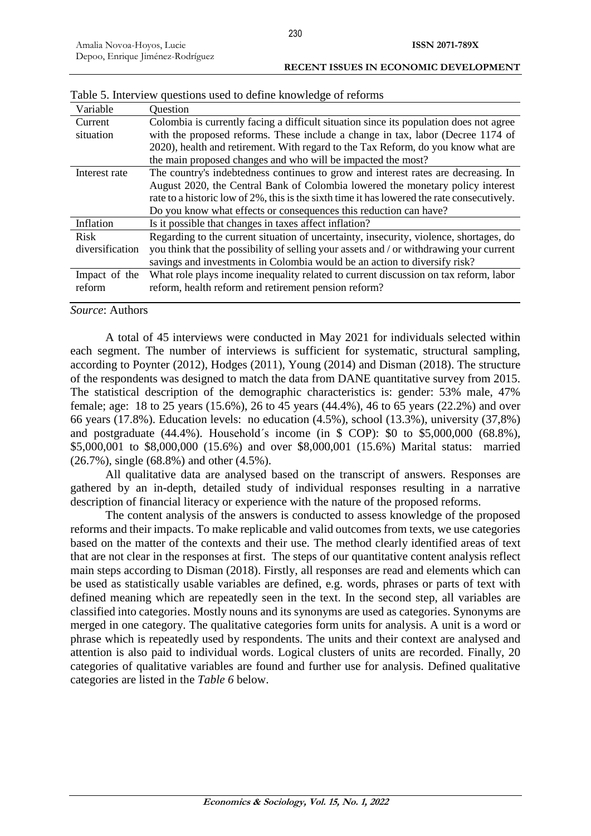| Variable        | Question                                                                                    |
|-----------------|---------------------------------------------------------------------------------------------|
| Current         | Colombia is currently facing a difficult situation since its population does not agree      |
| situation       | with the proposed reforms. These include a change in tax, labor (Decree 1174 of             |
|                 | 2020), health and retirement. With regard to the Tax Reform, do you know what are           |
|                 | the main proposed changes and who will be impacted the most?                                |
| Interest rate   | The country's indebtedness continues to grow and interest rates are decreasing. In          |
|                 | August 2020, the Central Bank of Colombia lowered the monetary policy interest              |
|                 | rate to a historic low of 2%, this is the sixth time it has lowered the rate consecutively. |
|                 | Do you know what effects or consequences this reduction can have?                           |
| Inflation       | Is it possible that changes in taxes affect inflation?                                      |
| <b>Risk</b>     | Regarding to the current situation of uncertainty, insecurity, violence, shortages, do      |
| diversification | you think that the possibility of selling your assets and / or withdrawing your current     |
|                 | savings and investments in Colombia would be an action to diversify risk?                   |
| Impact of the   | What role plays income inequality related to current discussion on tax reform, labor        |
| reform          | reform, health reform and retirement pension reform?                                        |
|                 |                                                                                             |

Table 5. Interview questions used to define knowledge of reforms

### *Source*: Authors

A total of 45 interviews were conducted in May 2021 for individuals selected within each segment. The number of interviews is sufficient for systematic, structural sampling, according to Poynter (2012), Hodges (2011), Young (2014) and Disman (2018). The structure of the respondents was designed to match the data from DANE quantitative survey from 2015. The statistical description of the demographic characteristics is: gender: 53% male, 47% female; age: 18 to 25 years (15.6%), 26 to 45 years (44.4%), 46 to 65 years (22.2%) and over 66 years (17.8%). Education levels: no education (4.5%), school (13.3%), university (37,8%) and postgraduate (44.4%). Household´s income (in \$ COP): \$0 to \$5,000,000 (68.8%), \$5,000,001 to \$8,000,000 (15.6%) and over \$8,000,001 (15.6%) Marital status: married (26.7%), single (68.8%) and other (4.5%).

All qualitative data are analysed based on the transcript of answers. Responses are gathered by an in-depth, detailed study of individual responses resulting in a narrative description of financial literacy or experience with the nature of the proposed reforms.

The content analysis of the answers is conducted to assess knowledge of the proposed reforms and their impacts. To make replicable and valid outcomes from texts, we use categories based on the matter of the contexts and their use. The method clearly identified areas of text that are not clear in the responses at first. The steps of our quantitative content analysis reflect main steps according to Disman (2018). Firstly, all responses are read and elements which can be used as statistically usable variables are defined, e.g. words, phrases or parts of text with defined meaning which are repeatedly seen in the text. In the second step, all variables are classified into categories. Mostly nouns and its synonyms are used as categories. Synonyms are merged in one category. The qualitative categories form units for analysis. A unit is a word or phrase which is repeatedly used by respondents. The units and their context are analysed and attention is also paid to individual words. Logical clusters of units are recorded. Finally, 20 categories of qualitative variables are found and further use for analysis. Defined qualitative categories are listed in the *Table 6* below.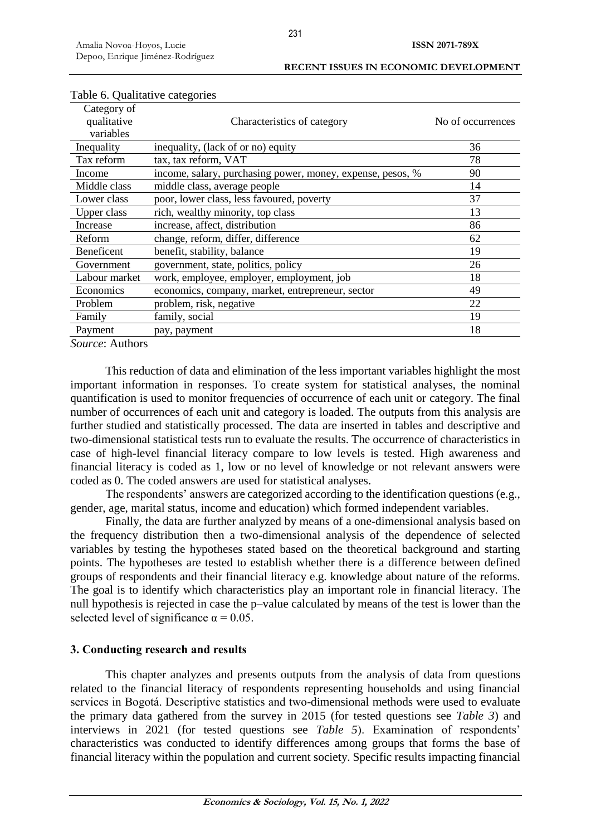| Table 6. Qualitative categories         |                                                            |                   |
|-----------------------------------------|------------------------------------------------------------|-------------------|
| Category of<br>qualitative<br>variables | Characteristics of category                                | No of occurrences |
| Inequality                              | inequality, (lack of or no) equity                         | 36                |
| Tax reform                              | tax, tax reform, VAT                                       | 78                |
| Income                                  | income, salary, purchasing power, money, expense, pesos, % | 90                |
| Middle class                            | middle class, average people                               | 14                |
| Lower class                             | poor, lower class, less favoured, poverty                  | 37                |
| <b>Upper class</b>                      | rich, wealthy minority, top class                          | 13                |
| Increase                                | increase, affect, distribution                             | 86                |
| Reform                                  | change, reform, differ, difference                         | 62                |
| Beneficent                              | benefit, stability, balance                                | 19                |
| Government                              | government, state, politics, policy                        | 26                |
| Labour market                           | work, employee, employer, employment, job                  | 18                |
| Economics                               | economics, company, market, entrepreneur, sector           | 49                |
| Problem                                 | problem, risk, negative                                    | 22                |
| Family                                  | family, social                                             | 19                |
| Payment                                 | pay, payment                                               | 18                |
|                                         |                                                            |                   |

*Source*: Authors

This reduction of data and elimination of the less important variables highlight the most important information in responses. To create system for statistical analyses, the nominal quantification is used to monitor frequencies of occurrence of each unit or category. The final number of occurrences of each unit and category is loaded. The outputs from this analysis are further studied and statistically processed. The data are inserted in tables and descriptive and two-dimensional statistical tests run to evaluate the results. The occurrence of characteristics in case of high-level financial literacy compare to low levels is tested. High awareness and financial literacy is coded as 1, low or no level of knowledge or not relevant answers were coded as 0. The coded answers are used for statistical analyses.

The respondents' answers are categorized according to the identification questions (e.g., gender, age, marital status, income and education) which formed independent variables.

Finally, the data are further analyzed by means of a one-dimensional analysis based on the frequency distribution then a two-dimensional analysis of the dependence of selected variables by testing the hypotheses stated based on the theoretical background and starting points. The hypotheses are tested to establish whether there is a difference between defined groups of respondents and their financial literacy e.g. knowledge about nature of the reforms. The goal is to identify which characteristics play an important role in financial literacy. The null hypothesis is rejected in case the p–value calculated by means of the test is lower than the selected level of significance  $\alpha$  = 0.05.

# **3. Conducting research and results**

This chapter analyzes and presents outputs from the analysis of data from questions related to the financial literacy of respondents representing households and using financial services in Bogotá. Descriptive statistics and two-dimensional methods were used to evaluate the primary data gathered from the survey in 2015 (for tested questions see *Table 3*) and interviews in 2021 (for tested questions see *Table 5*). Examination of respondents' characteristics was conducted to identify differences among groups that forms the base of financial literacy within the population and current society. Specific results impacting financial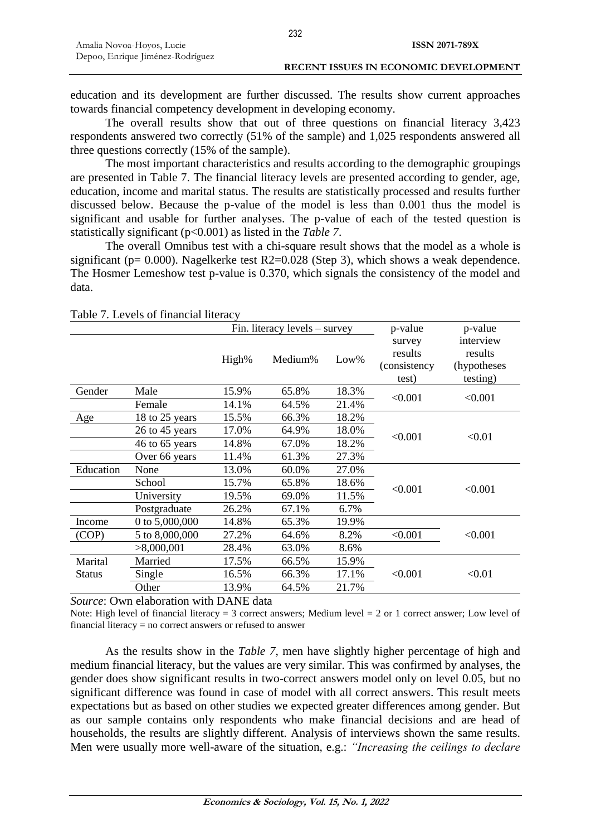education and its development are further discussed. The results show current approaches towards financial competency development in developing economy.

The overall results show that out of three questions on financial literacy 3,423 respondents answered two correctly (51% of the sample) and 1,025 respondents answered all three questions correctly (15% of the sample).

The most important characteristics and results according to the demographic groupings are presented in Table 7. The financial literacy levels are presented according to gender, age, education, income and marital status. The results are statistically processed and results further discussed below. Because the p-value of the model is less than 0.001 thus the model is significant and usable for further analyses. The p-value of each of the tested question is statistically significant (p<0.001) as listed in the *Table 7*.

The overall Omnibus test with a chi-square result shows that the model as a whole is significant ( $p= 0.000$ ). Nagelkerke test R2=0.028 (Step 3), which shows a weak dependence. The Hosmer Lemeshow test p-value is 0.370, which signals the consistency of the model and data.

|               |                |       | Fin. literacy $levels - survey$ |         | p-value                                     | p-value                                          |  |
|---------------|----------------|-------|---------------------------------|---------|---------------------------------------------|--------------------------------------------------|--|
|               |                | High% | Medium%                         | $Low\%$ | survey<br>results<br>(consistency)<br>test) | interview<br>results<br>(hypotheses)<br>testing) |  |
| Gender        | Male           | 15.9% | 65.8%                           | 18.3%   | < 0.001                                     | < 0.001                                          |  |
|               | Female         | 14.1% | 64.5%                           | 21.4%   |                                             |                                                  |  |
| Age           | 18 to 25 years | 15.5% | 66.3%                           | 18.2%   |                                             |                                                  |  |
|               | 26 to 45 years | 17.0% | 64.9%                           | 18.0%   | < 0.001                                     | < 0.01                                           |  |
|               | 46 to 65 years | 14.8% | 67.0%                           | 18.2%   |                                             |                                                  |  |
|               | Over 66 years  | 11.4% | 61.3%                           | 27.3%   |                                             |                                                  |  |
| Education     | None           | 13.0% | 60.0%                           | 27.0%   |                                             |                                                  |  |
|               | School         | 15.7% | 65.8%                           | 18.6%   | < 0.001                                     | < 0.001                                          |  |
|               | University     | 19.5% | 69.0%                           | 11.5%   |                                             |                                                  |  |
|               | Postgraduate   | 26.2% | 67.1%                           | 6.7%    |                                             |                                                  |  |
| Income        | 0 to 5,000,000 | 14.8% | 65.3%                           | 19.9%   |                                             |                                                  |  |
| (COP)         | 5 to 8,000,000 | 27.2% | 64.6%                           | 8.2%    | < 0.001                                     | < 0.001                                          |  |
|               | >8,000,001     | 28.4% | 63.0%                           | 8.6%    |                                             |                                                  |  |
| Marital       | Married        | 17.5% | 66.5%                           | 15.9%   |                                             |                                                  |  |
| <b>Status</b> | Single         | 16.5% | 66.3%                           | 17.1%   | < 0.001                                     | < 0.01                                           |  |
|               | Other          | 13.9% | 64.5%                           | 21.7%   |                                             |                                                  |  |

Table 7. Levels of financial literacy

*Source*: Own elaboration with DANE data

Note: High level of financial literacy = 3 correct answers; Medium level = 2 or 1 correct answer; Low level of financial literacy = no correct answers or refused to answer

As the results show in the *Table 7*, men have slightly higher percentage of high and medium financial literacy, but the values are very similar. This was confirmed by analyses, the gender does show significant results in two-correct answers model only on level 0.05, but no significant difference was found in case of model with all correct answers. This result meets expectations but as based on other studies we expected greater differences among gender. But as our sample contains only respondents who make financial decisions and are head of households, the results are slightly different. Analysis of interviews shown the same results. Men were usually more well-aware of the situation, e.g.: *"Increasing the ceilings to declare*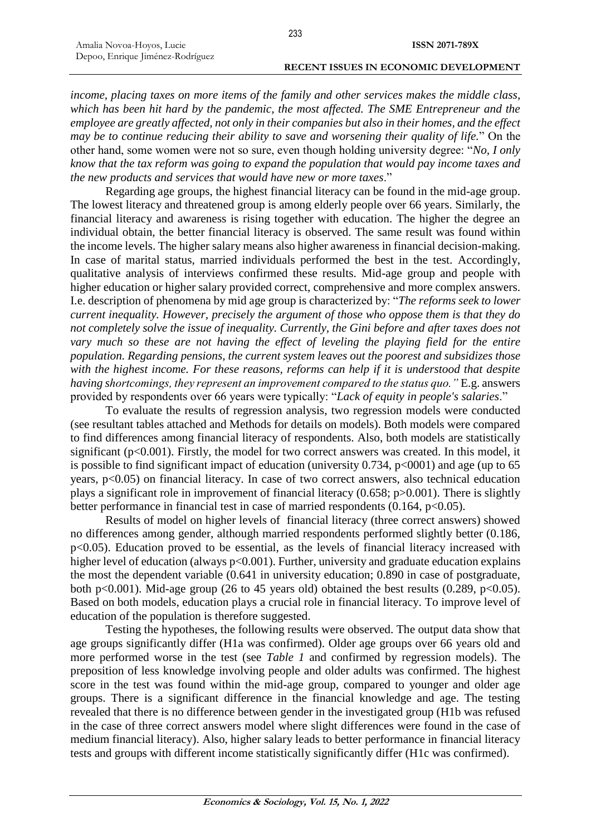*income, placing taxes on more items of the family and other services makes the middle class, which has been hit hard by the pandemic, the most affected. The SME Entrepreneur and the employee are greatly affected, not only in their companies but also in their homes, and the effect may be to continue reducing their ability to save and worsening their quality of life.*" On the other hand, some women were not so sure, even though holding university degree: "*No, I only know that the tax reform was going to expand the population that would pay income taxes and the new products and services that would have new or more taxes*."

Regarding age groups, the highest financial literacy can be found in the mid-age group. The lowest literacy and threatened group is among elderly people over 66 years. Similarly, the financial literacy and awareness is rising together with education. The higher the degree an individual obtain, the better financial literacy is observed. The same result was found within the income levels. The higher salary means also higher awareness in financial decision-making. In case of marital status, married individuals performed the best in the test. Accordingly, qualitative analysis of interviews confirmed these results. Mid-age group and people with higher education or higher salary provided correct, comprehensive and more complex answers. I.e. description of phenomena by mid age group is characterized by: "*The reforms seek to lower current inequality. However, precisely the argument of those who oppose them is that they do not completely solve the issue of inequality. Currently, the Gini before and after taxes does not*  vary much so these are not having the effect of leveling the playing field for the entire *population. Regarding pensions, the current system leaves out the poorest and subsidizes those with the highest income. For these reasons, reforms can help if it is understood that despite having shortcomings, they represent an improvement compared to the status quo."* E.g. answers provided by respondents over 66 years were typically: "*Lack of equity in people's salaries*."

To evaluate the results of regression analysis, two regression models were conducted (see resultant tables attached and Methods for details on models). Both models were compared to find differences among financial literacy of respondents. Also, both models are statistically significant (p<0.001). Firstly, the model for two correct answers was created. In this model, it is possible to find significant impact of education (university  $0.734$ ,  $p<0.001$ ) and age (up to 65 years, p<0.05) on financial literacy. In case of two correct answers, also technical education plays a significant role in improvement of financial literacy (0.658; p>0.001). There is slightly better performance in financial test in case of married respondents  $(0.164, p<0.05)$ .

Results of model on higher levels of financial literacy (three correct answers) showed no differences among gender, although married respondents performed slightly better (0.186, p<0.05). Education proved to be essential, as the levels of financial literacy increased with higher level of education (always p<0.001). Further, university and graduate education explains the most the dependent variable (0.641 in university education; 0.890 in case of postgraduate, both p<0.001). Mid-age group (26 to 45 years old) obtained the best results (0.289, p<0.05). Based on both models, education plays a crucial role in financial literacy. To improve level of education of the population is therefore suggested.

Testing the hypotheses, the following results were observed. The output data show that age groups significantly differ (H1a was confirmed). Older age groups over 66 years old and more performed worse in the test (see *Table 1* and confirmed by regression models). The preposition of less knowledge involving people and older adults was confirmed. The highest score in the test was found within the mid-age group, compared to younger and older age groups. There is a significant difference in the financial knowledge and age. The testing revealed that there is no difference between gender in the investigated group (H1b was refused in the case of three correct answers model where slight differences were found in the case of medium financial literacy). Also, higher salary leads to better performance in financial literacy tests and groups with different income statistically significantly differ (H1c was confirmed).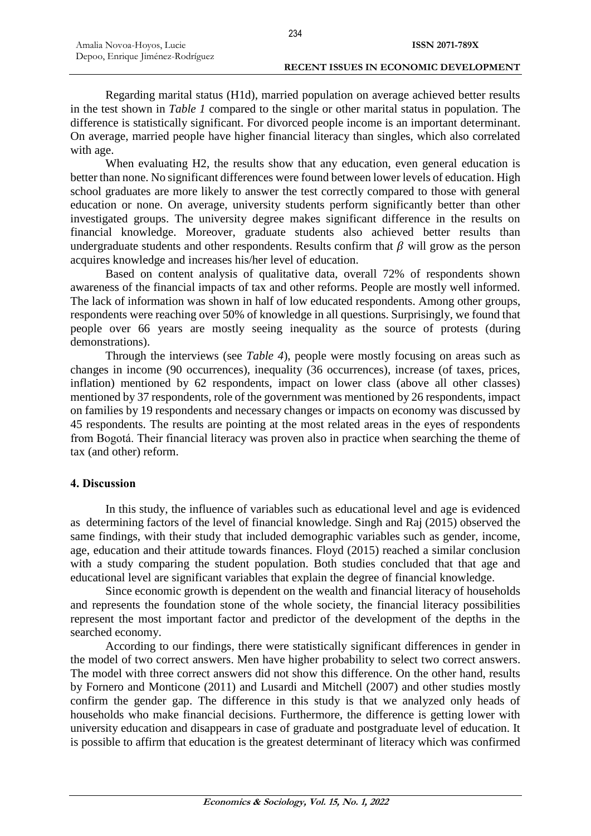Regarding marital status (H1d), married population on average achieved better results in the test shown in *Table 1* compared to the single or other marital status in population. The difference is statistically significant. For divorced people income is an important determinant. On average, married people have higher financial literacy than singles, which also correlated with age.

When evaluating H2, the results show that any education, even general education is better than none. No significant differences were found between lower levels of education. High school graduates are more likely to answer the test correctly compared to those with general education or none. On average, university students perform significantly better than other investigated groups. The university degree makes significant difference in the results on financial knowledge. Moreover, graduate students also achieved better results than undergraduate students and other respondents. Results confirm that  $\beta$  will grow as the person acquires knowledge and increases his/her level of education.

Based on content analysis of qualitative data, overall 72% of respondents shown awareness of the financial impacts of tax and other reforms. People are mostly well informed. The lack of information was shown in half of low educated respondents. Among other groups, respondents were reaching over 50% of knowledge in all questions. Surprisingly, we found that people over 66 years are mostly seeing inequality as the source of protests (during demonstrations).

Through the interviews (see *Table 4*), people were mostly focusing on areas such as changes in income (90 occurrences), inequality (36 occurrences), increase (of taxes, prices, inflation) mentioned by 62 respondents, impact on lower class (above all other classes) mentioned by 37 respondents, role of the government was mentioned by 26 respondents, impact on families by 19 respondents and necessary changes or impacts on economy was discussed by 45 respondents. The results are pointing at the most related areas in the eyes of respondents from Bogotá. Their financial literacy was proven also in practice when searching the theme of tax (and other) reform.

### **4. Discussion**

In this study, the influence of variables such as educational level and age is evidenced as determining factors of the level of financial knowledge. Singh and Raj (2015) observed the same findings, with their study that included demographic variables such as gender, income, age, education and their attitude towards finances. Floyd (2015) reached a similar conclusion with a study comparing the student population. Both studies concluded that that age and educational level are significant variables that explain the degree of financial knowledge.

Since economic growth is dependent on the wealth and financial literacy of households and represents the foundation stone of the whole society, the financial literacy possibilities represent the most important factor and predictor of the development of the depths in the searched economy.

According to our findings, there were statistically significant differences in gender in the model of two correct answers. Men have higher probability to select two correct answers. The model with three correct answers did not show this difference. On the other hand, results by Fornero and Monticone (2011) and Lusardi and Mitchell (2007) and other studies mostly confirm the gender gap. The difference in this study is that we analyzed only heads of households who make financial decisions. Furthermore, the difference is getting lower with university education and disappears in case of graduate and postgraduate level of education. It is possible to affirm that education is the greatest determinant of literacy which was confirmed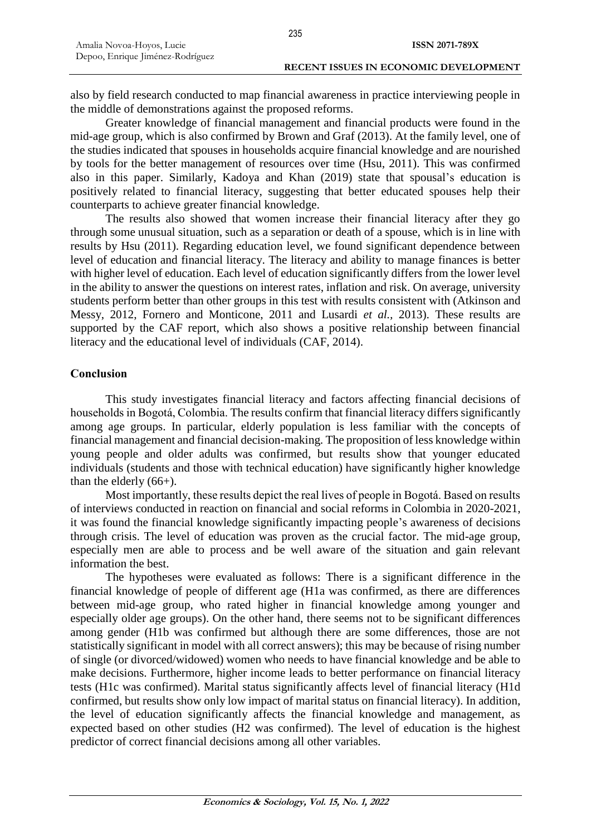also by field research conducted to map financial awareness in practice interviewing people in the middle of demonstrations against the proposed reforms.

Greater knowledge of financial management and financial products were found in the mid-age group, which is also confirmed by Brown and Graf (2013). At the family level, one of the studies indicated that spouses in households acquire financial knowledge and are nourished by tools for the better management of resources over time (Hsu, 2011). This was confirmed also in this paper. Similarly, Kadoya and Khan (2019) state that spousal's education is positively related to financial literacy, suggesting that better educated spouses help their counterparts to achieve greater financial knowledge.

The results also showed that women increase their financial literacy after they go through some unusual situation, such as a separation or death of a spouse, which is in line with results by Hsu (2011). Regarding education level, we found significant dependence between level of education and financial literacy. The literacy and ability to manage finances is better with higher level of education. Each level of education significantly differs from the lower level in the ability to answer the questions on interest rates, inflation and risk. On average, university students perform better than other groups in this test with results consistent with (Atkinson and Messy, 2012, Fornero and Monticone, 2011 and Lusardi *et al.,* 2013). These results are supported by the CAF report, which also shows a positive relationship between financial literacy and the educational level of individuals (CAF, 2014).

# **Conclusion**

This study investigates financial literacy and factors affecting financial decisions of households in Bogotá, Colombia. The results confirm that financial literacy differs significantly among age groups. In particular, elderly population is less familiar with the concepts of financial management and financial decision-making. The proposition of less knowledge within young people and older adults was confirmed, but results show that younger educated individuals (students and those with technical education) have significantly higher knowledge than the elderly  $(66+)$ .

Most importantly, these results depict the real lives of people in Bogotá. Based on results of interviews conducted in reaction on financial and social reforms in Colombia in 2020-2021, it was found the financial knowledge significantly impacting people's awareness of decisions through crisis. The level of education was proven as the crucial factor. The mid-age group, especially men are able to process and be well aware of the situation and gain relevant information the best.

The hypotheses were evaluated as follows: There is a significant difference in the financial knowledge of people of different age (H1a was confirmed, as there are differences between mid-age group, who rated higher in financial knowledge among younger and especially older age groups). On the other hand, there seems not to be significant differences among gender (H1b was confirmed but although there are some differences, those are not statistically significant in model with all correct answers); this may be because of rising number of single (or divorced/widowed) women who needs to have financial knowledge and be able to make decisions. Furthermore, higher income leads to better performance on financial literacy tests (H1c was confirmed). Marital status significantly affects level of financial literacy (H1d confirmed, but results show only low impact of marital status on financial literacy). In addition, the level of education significantly affects the financial knowledge and management, as expected based on other studies (H2 was confirmed). The level of education is the highest predictor of correct financial decisions among all other variables.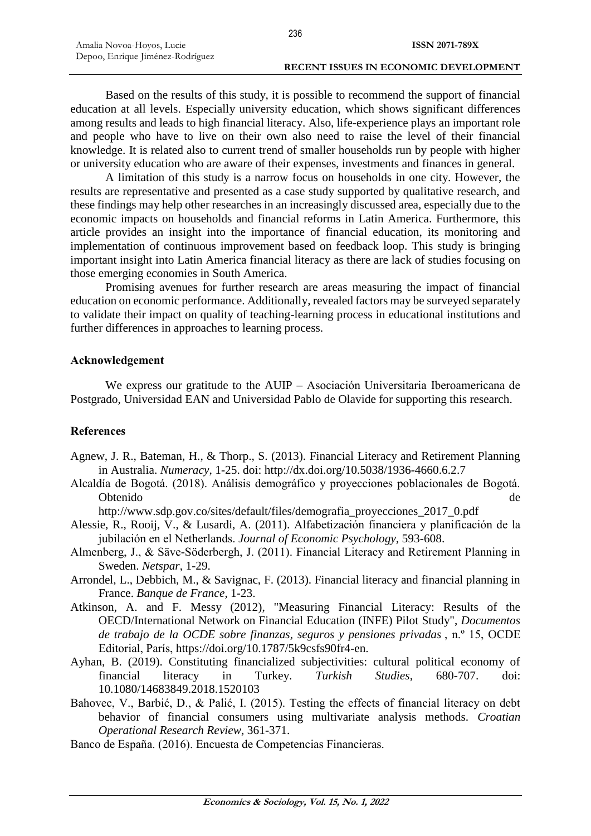Based on the results of this study, it is possible to recommend the support of financial education at all levels. Especially university education, which shows significant differences among results and leads to high financial literacy. Also, life-experience plays an important role and people who have to live on their own also need to raise the level of their financial knowledge. It is related also to current trend of smaller households run by people with higher or university education who are aware of their expenses, investments and finances in general.

A limitation of this study is a narrow focus on households in one city. However, the results are representative and presented as a case study supported by qualitative research, and these findings may help other researches in an increasingly discussed area, especially due to the economic impacts on households and financial reforms in Latin America. Furthermore, this article provides an insight into the importance of financial education, its monitoring and implementation of continuous improvement based on feedback loop. This study is bringing important insight into Latin America financial literacy as there are lack of studies focusing on those emerging economies in South America.

Promising avenues for further research are areas measuring the impact of financial education on economic performance. Additionally, revealed factors may be surveyed separately to validate their impact on quality of teaching-learning process in educational institutions and further differences in approaches to learning process.

### **Acknowledgement**

We express our gratitude to the AUIP – Asociación Universitaria Iberoamericana de Postgrado, Universidad EAN and Universidad Pablo de Olavide for supporting this research.

### **References**

- Agnew, J. R., Bateman, H., & Thorp., S. (2013). Financial Literacy and Retirement Planning in Australia. *Numeracy*, 1-25. doi: http://dx.doi.org/10.5038/1936-4660.6.2.7
- Alcaldía de Bogotá. (2018). Análisis demográfico y proyecciones poblacionales de Bogotá. Obtenido de

http://www.sdp.gov.co/sites/default/files/demografia\_proyecciones\_2017\_0.pdf

- Alessie, R., Rooij, V., & Lusardi, A. (2011). Alfabetización financiera y planificación de la jubilación en el Netherlands. *Journal of Economic Psychology*, 593-608.
- Almenberg, J., & Säve-Söderbergh, J. (2011). Financial Literacy and Retirement Planning in Sweden. *Netspar*, 1-29.
- Arrondel, L., Debbich, M., & Savignac, F. (2013). Financial literacy and financial planning in France. *Banque de France*, 1-23.
- Atkinson, A. and F. Messy (2012), "Measuring Financial Literacy: Results of the OECD/International Network on Financial Education (INFE) Pilot Study", *Documentos de trabajo de la OCDE sobre finanzas, seguros y pensiones privadas* , n.º 15, OCDE Editorial, París, https://doi.org/10.1787/5k9csfs90fr4-en.
- Ayhan, B. (2019). Constituting financialized subjectivities: cultural political economy of financial literacy in Turkey. *Turkish Studies*, 680-707. doi: 10.1080/14683849.2018.1520103
- Bahovec, V., Barbić, D., & Palić, I. (2015). Testing the effects of financial literacy on debt behavior of financial consumers using multivariate analysis methods. *Croatian Operational Research Review*, 361-371.
- Banco de España. (2016). Encuesta de Competencias Financieras.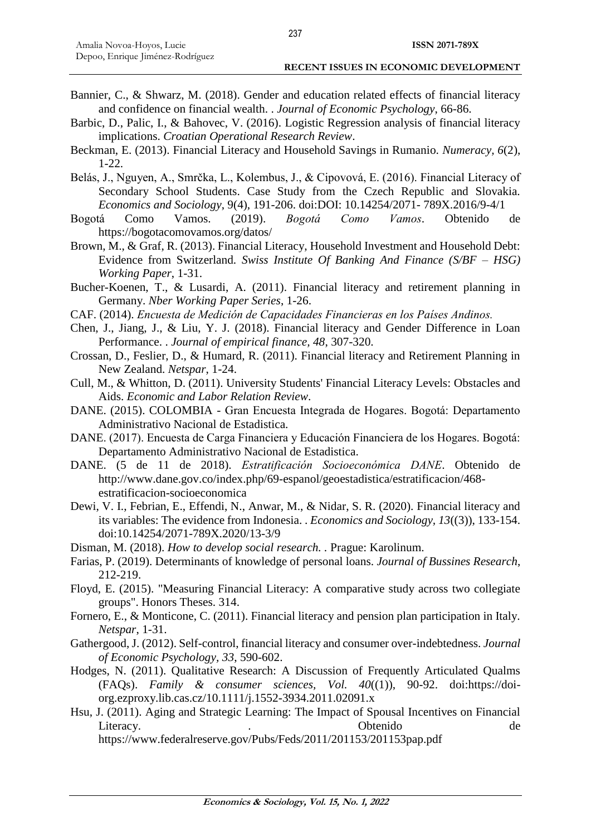- Bannier, C., & Shwarz, M. (2018). Gender and education related effects of financial literacy and confidence on financial wealth. . *Journal of Economic Psychology*, 66-86.
- Barbic, D., Palic, I., & Bahovec, V. (2016). Logistic Regression analysis of financial literacy implications. *Croatian Operational Research Review*.
- Beckman, E. (2013). Financial Literacy and Household Savings in Rumanio. *Numeracy, 6*(2), 1-22.
- Belás, J., Nguyen, A., Smrčka, L., Kolembus, J., & Cipovová, E. (2016). Financial Literacy of Secondary School Students. Case Study from the Czech Republic and Slovakia. *Economics and Sociology*, 9(4), 191-206. doi:DOI: 10.14254/2071- 789X.2016/9-4/1
- Bogotá Como Vamos. (2019). *Bogotá Como Vamos*. Obtenido de https://bogotacomovamos.org/datos/
- Brown, M., & Graf, R. (2013). Financial Literacy, Household Investment and Household Debt: Evidence from Switzerland. *Swiss Institute Of Banking And Finance (S/BF – HSG) Working Paper*, 1-31.
- Bucher-Koenen, T., & Lusardi, A. (2011). Financial literacy and retirement planning in Germany. *Nber Working Paper Series*, 1-26.
- CAF. (2014). *Encuesta de Medición de Capacidades Financieras en los Países Andinos.*
- Chen, J., Jiang, J., & Liu, Y. J. (2018). Financial literacy and Gender Difference in Loan Performance. . *Journal of empirical finance, 48*, 307-320.
- Crossan, D., Feslier, D., & Humard, R. (2011). Financial literacy and Retirement Planning in New Zealand. *Netspar*, 1-24.
- Cull, M., & Whitton, D. (2011). University Students' Financial Literacy Levels: Obstacles and Aids. *Economic and Labor Relation Review*.
- DANE. (2015). COLOMBIA Gran Encuesta Integrada de Hogares. Bogotá: Departamento Administrativo Nacional de Estadistica.
- DANE. (2017). Encuesta de Carga Financiera y Educación Financiera de los Hogares. Bogotá: Departamento Administrativo Nacional de Estadistica.
- DANE. (5 de 11 de 2018). *Estratificación Socioeconómica DANE*. Obtenido de http://www.dane.gov.co/index.php/69-espanol/geoestadistica/estratificacion/468 estratificacion-socioeconomica
- Dewi, V. I., Febrian, E., Effendi, N., Anwar, M., & Nidar, S. R. (2020). Financial literacy and its variables: The evidence from Indonesia. . *Economics and Sociology, 13*((3)), 133-154. doi:10.14254/2071-789X.2020/13-3/9
- Disman, M. (2018). *How to develop social research. .* Prague: Karolinum.
- Farias, P. (2019). Determinants of knowledge of personal loans. *Journal of Bussines Research*, 212-219.
- Floyd, E. (2015). "Measuring Financial Literacy: A comparative study across two collegiate groups". Honors Theses. 314.
- Fornero, E., & Monticone, C. (2011). Financial literacy and pension plan participation in Italy. *Netspar*, 1-31.
- Gathergood, J. (2012). Self-control, financial literacy and consumer over-indebtedness. *Journal of Economic Psychology, 33*, 590-602.
- Hodges, N. (2011). Qualitative Research: A Discussion of Frequently Articulated Qualms (FAQs). *Family & consumer sciences, Vol. 40*((1)), 90-92. doi:https://doiorg.ezproxy.lib.cas.cz/10.1111/j.1552-3934.2011.02091.x
- Hsu, J. (2011). Aging and Strategic Learning: The Impact of Spousal Incentives on Financial Literacy. . Obtenido de https://www.federalreserve.gov/Pubs/Feds/2011/201153/201153pap.pdf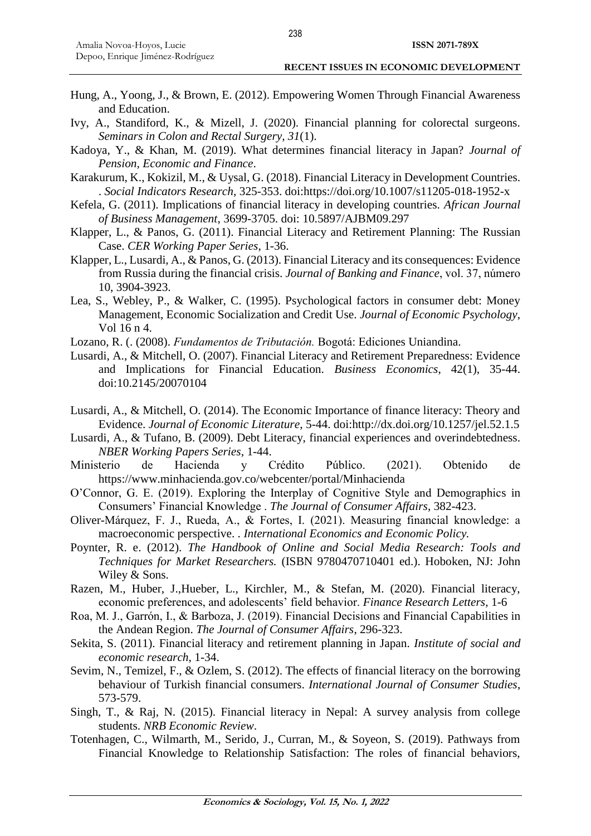- Hung, A., Yoong, J., & Brown, E. (2012). Empowering Women Through Financial Awareness and Education.
- Ivy, A., Standiford, K., & Mizell, J. (2020). Financial planning for colorectal surgeons. *Seminars in Colon and Rectal Surgery, 31*(1).
- Kadoya, Y., & Khan, M. (2019). What determines financial literacy in Japan? *Journal of Pension, Economic and Finance*.
- Karakurum, K., Kokizil, M., & Uysal, G. (2018). Financial Literacy in Development Countries. . *Social Indicators Research*, 325-353. doi:https://doi.org/10.1007/s11205-018-1952-x
- Kefela, G. (2011). Implications of financial literacy in developing countries. *African Journal of Business Management*, 3699-3705. doi: 10.5897/AJBM09.297
- Klapper, L., & Panos, G. (2011). Financial Literacy and Retirement Planning: The Russian Case. *CER Working Paper Series*, 1-36.
- Klapper, L., Lusardi, A., & Panos, G. (2013). Financial Literacy and its consequences: Evidence from Russia during the financial crisis. *Journal of Banking and Finance*, vol. 37, número 10, 3904-3923.
- Lea, S., Webley, P., & Walker, C. (1995). Psychological factors in consumer debt: Money Management, Economic Socialization and Credit Use. *Journal of Economic Psychology*, Vol 16 n 4.
- Lozano, R. (. (2008). *Fundamentos de Tributación.* Bogotá: Ediciones Uniandina.
- Lusardi, A., & Mitchell, O. (2007). Financial Literacy and Retirement Preparedness: Evidence and Implications for Financial Education. *Business Economics*, 42(1), 35-44. doi:10.2145/20070104
- Lusardi, A., & Mitchell, O. (2014). The Economic Importance of finance literacy: Theory and Evidence. *Journal of Economic Literature*, 5-44. doi:http://dx.doi.org/10.1257/jel.52.1.5
- Lusardi, A., & Tufano, B. (2009). Debt Literacy, financial experiences and overindebtedness. *NBER Working Papers Series*, 1-44.
- Ministerio de Hacienda y Crédito Público. (2021). Obtenido de https://www.minhacienda.gov.co/webcenter/portal/Minhacienda
- O'Connor, G. E. (2019). Exploring the Interplay of Cognitive Style and Demographics in Consumers' Financial Knowledge . *The Journal of Consumer Affairs*, 382-423.
- Oliver-Márquez, F. J., Rueda, A., & Fortes, I. (2021). Measuring financial knowledge: a macroeconomic perspective. . *International Economics and Economic Policy.*
- Poynter, R. e. (2012). *The Handbook of Online and Social Media Research: Tools and Techniques for Market Researchers.* (ISBN 9780470710401 ed.). Hoboken, NJ: John Wiley & Sons.
- Razen, M., Huber, J.,Hueber, L., Kirchler, M., & Stefan, M. (2020). Financial literacy, economic preferences, and adolescents' field behavior. *Finance Research Letters*, 1-6
- Roa, M. J., Garrón, I., & Barboza, J. (2019). Financial Decisions and Financial Capabilities in the Andean Region. *The Journal of Consumer Affairs*, 296-323.
- Sekita, S. (2011). Financial literacy and retirement planning in Japan. *Institute of social and economic research*, 1-34.
- Sevim, N., Temizel, F., & Ozlem, S. (2012). The effects of financial literacy on the borrowing behaviour of Turkish financial consumers. *International Journal of Consumer Studies*, 573-579.
- Singh, T., & Raj, N. (2015). Financial literacy in Nepal: A survey analysis from college students. *NRB Economic Review*.
- Totenhagen, C., Wilmarth, M., Serido, J., Curran, M., & Soyeon, S. (2019). Pathways from Financial Knowledge to Relationship Satisfaction: The roles of financial behaviors,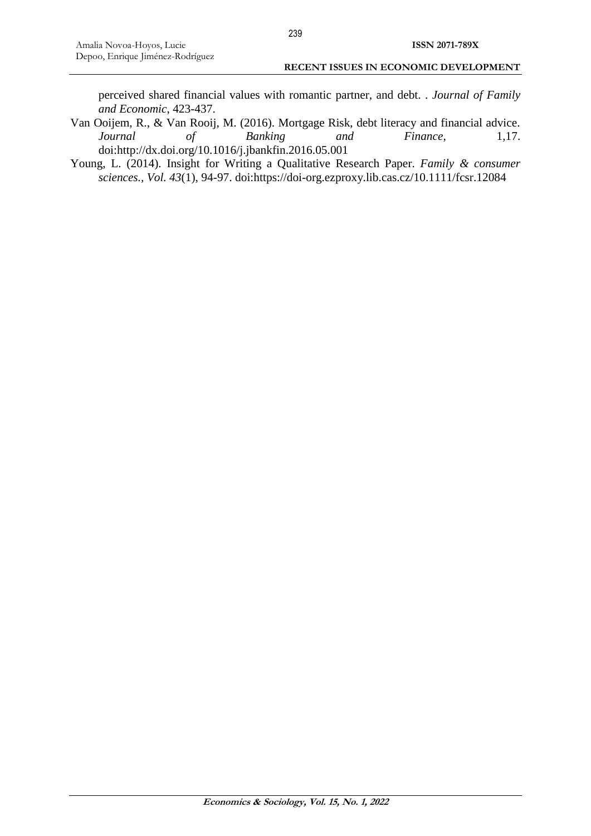perceived shared financial values with romantic partner, and debt. . *Journal of Family and Economic*, 423-437.

- Van Ooijem, R., & Van Rooij, M. (2016). Mortgage Risk, debt literacy and financial advice. *Journal of Banking and Finance*, 1,17. doi:http://dx.doi.org/10.1016/j.jbankfin.2016.05.001
- Young, L. (2014). Insight for Writing a Qualitative Research Paper. *Family & consumer sciences., Vol. 43*(1), 94-97. doi:https://doi-org.ezproxy.lib.cas.cz/10.1111/fcsr.12084